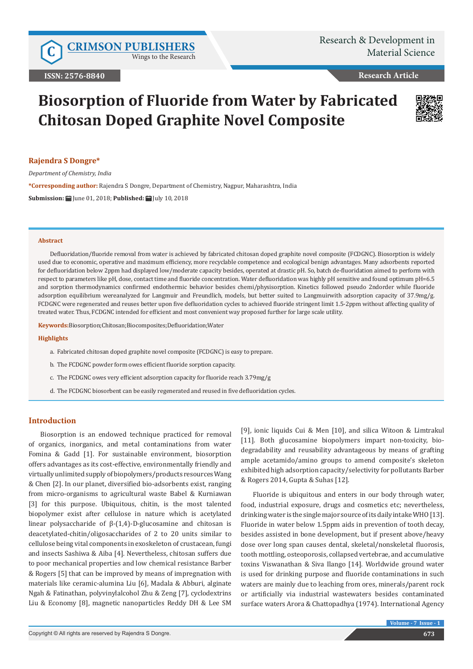Wings to the Research

# **Research Article**

# **Biosorption of Fluoride from Water by Fabricated Chitosan Doped Graphite Novel Composite**



# **Rajendra S Dongre\***

*Department of Chemistry, India*

**\*Corresponding author:** Rajendra S Dongre, Department of Chemistry, Nagpur, Maharashtra, India

**Submission:** June 01, 2018; **Published:** July 10, 2018

#### **Abstract**

Defluoridation/fluoride removal from water is achieved by fabricated chitosan doped graphite novel composite (FCDGNC). Biosorption is widely used due to economic, operative and maximum efficiency, more recyclable competence and ecological benign advantages. Many adsorbents reported for defluoridation below 2ppm had displayed low/moderate capacity besides, operated at drastic pH. So, batch de-fluoridation aimed to perform with respect to parameters like pH, dose, contact time and fluoride concentration. Water defluoridation was highly pH sensitive and found optimum pH=6.5 and sorption thermodynamics confirmed endothermic behavior besides chemi/physisorption. Kinetics followed pseudo 2ndorder while fluoride adsorption equilibrium wereanalyzed for Langmuir and Freundlich, models, but better suited to Langmuirwith adsorption capacity of 37.9mg/g. FCDGNC were regenerated and reuses better upon five defluoridation cycles to achieved fluoride stringent limit 1.5-2ppm without affecting quality of treated water. Thus, FCDGNC intended for efficient and most convenient way proposed further for large scale utility.

**Keywords:**Biosorption;Chitosan;Biocomposites;Defluoridation;Water

#### **Highlights**

- a. Fabricated chitosan doped graphite novel composite (FCDGNC) is easy to prepare.
- b. The FCDGNC powder form owes efficient fluoride sorption capacity.
- c. The FCDGNC owes very efficient adsorption capacity for fluoride reach 3.79mg/g
- d. The FCDGNC biosorbent can be easily regenerated and reused in five defluoridation cycles.

# **Introduction**

Biosorption is an endowed technique practiced for removal of organics, inorganics, and metal contaminations from water Fomina & Gadd [1]. For sustainable environment, biosorption offers advantages as its cost-effective, environmentally friendly and virtually unlimited supply of biopolymers/products resources Wang & Chen [2]. In our planet, diversified bio-adsorbents exist, ranging from micro-organisms to agricultural waste Babel & Kurniawan [3] for this purpose. Ubiquitous, chitin, is the most talented biopolymer exist after cellulose in nature which is acetylated linear polysaccharide of β-(1,4)-D-glucosamine and chitosan is deacetylated-chitin/oligosaccharides of 2 to 20 units similar to cellulose being vital components in exoskeleton of crustacean, fungi and insects Sashiwa & Aiba [4]. Nevertheless, chitosan suffers due to poor mechanical properties and low chemical resistance Barber & Rogers [5] that can be improved by means of impregnation with materials like ceramic-alumina Liu [6], Madala & Abburi, alginate Ngah & Fatinathan, polyvinylalcohol Zhu & Zeng [7], cyclodextrins Liu & Economy [8], magnetic nanoparticles Reddy DH & Lee SM

[9], ionic liquids Cui & Men [10], and silica Witoon & Limtrakul [11]. Both glucosamine biopolymers impart non-toxicity, biodegradability and reusability advantageous by means of grafting ample acetamido/amino groups to amend composite's skeleton exhibited high adsorption capacity/selectivity for pollutants Barber & Rogers 2014, Gupta & Suhas [12].

Fluoride is ubiquitous and enters in our body through water, food, industrial exposure, drugs and cosmetics etc; nevertheless, drinking water is the single major source of its daily intake WHO [13]. Fluoride in water below 1.5ppm aids in prevention of tooth decay, besides assisted in bone development, but if present above/heavy dose over long span causes dental, skeletal/nonskeletal fluorosis, tooth mottling, osteoporosis, collapsed vertebrae, and accumulative toxins Viswanathan & Siva Ilango [14]. Worldwide ground water is used for drinking purpose and fluoride contaminations in such waters are mainly due to leaching from ores, minerals/parent rock or artificially via industrial wastewaters besides contaminated surface waters Arora & Chattopadhya (1974). International Agency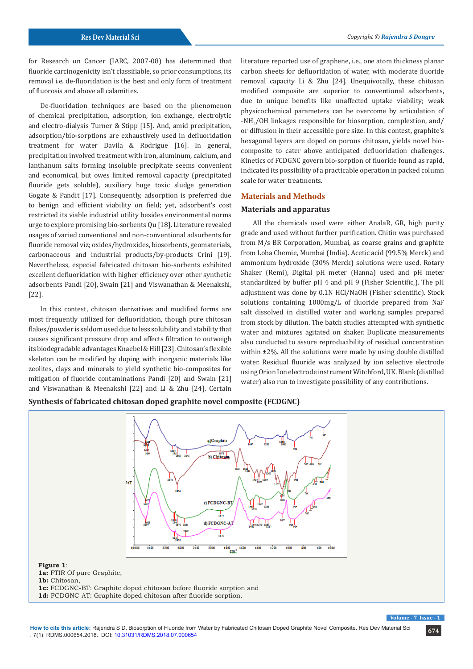for Research on Cancer (IARC, 2007-08) has determined that fluoride carcinogenicity isn't classifiable, so prior consumptions, its removal i.e. de-fluoridation is the best and only form of treatment of fluorosis and above all calamities.

De-fluoridation techniques are based on the phenomenon of chemical precipitation, adsorption, ion exchange, electrolytic and electro-dialysis Turner & Stipp [15]. And, amid precipitation, adsorption/bio-sorptions are exhaustively used in defluoridation treatment for water Davila & Rodrigue [16]. In general, precipitation involved treatment with iron, aluminum, calcium, and lanthanum salts forming insoluble precipitate seems convenient and economical, but owes limited removal capacity (precipitated fluoride gets soluble), auxiliary huge toxic sludge generation Gogate & Pandit [17]. Consequently, adsorption is preferred due to benign and efficient viability on field; yet, adsorbent's cost restricted its viable industrial utility besides environmental norms urge to explore promising bio-sorbents Qu [18]. Literature revealed usages of varied conventional and non-conventional adsorbents for fluoride removal viz; oxides/hydroxides, biosorbents, geomaterials, carbonaceous and industrial products/by-products Crini [19]. Nevertheless, especial fabricated chitosan bio-sorbents exhibited excellent defluoridation with higher efficiency over other synthetic adsorbents Pandi [20], Swain [21] and Viswanathan & Meenakshi, [22].

In this contest, chitosan derivatives and modified forms are most frequently utilized for defluoridation, though pure chitosan flakes/powder is seldom used due to less solubility and stability that causes significant pressure drop and affects filtration to outweigh its biodegradable advantages Knaebel & Hill [23]. Chitosan's flexible skeleton can be modified by doping with inorganic materials like zeolites, clays and minerals to yield synthetic bio-composites for mitigation of fluoride contaminations Pandi [20] and Swain [21] and Viswanathan & Meenakshi [22] and Li & Zhu [24]. Certain

literature reported use of graphene, i.e., one atom thickness planar carbon sheets for defluoridation of water, with moderate fluoride removal capacity Li & Zhu [24]. Unequivocally, these chitosan modified composite are superior to conventional adsorbents, due to unique benefits like unaffected uptake viability; weak physicochemical parameters can be overcome by articulation of -NH<sub>2</sub>/OH linkages responsible for biosorption, complextion, and/ or diffusion in their accessible pore size. In this contest, graphite's hexagonal layers are doped on porous chitosan, yields novel biocomposite to cater above anticipated defluoridation challenges. Kinetics of FCDGNC govern bio-sorption of fluoride found as rapid, indicated its possibility of a practicable operation in packed column scale for water treatments.

# **Materials and Methods**

#### **Materials and apparatus**

All the chemicals used were either AnalaR, GR, high purity grade and used without further purification. Chitin was purchased from M/s BR Corporation, Mumbai, as coarse grains and graphite from Loba Chemie, Mumbai (India). Acetic acid (99.5% Merck) and ammonium hydroxide (30% Merck) solutions were used. Rotary Shaker (Remi), Digital pH meter (Hanna) used and pH meter standardized by buffer pH 4 and pH 9 (Fisher Scientific,). The pH adjustment was done by 0.1N HCl/NaOH (Fisher scientific). Stock solutions containing 1000mg/L of fluoride prepared from NaF salt dissolved in distilled water and working samples prepared from stock by dilution. The batch studies attempted with synthetic water and mixtures agitated on shaker. Duplicate measurements also conducted to assure reproducibility of residual concentration within ±2%. All the solutions were made by using double distilled water. Residual fluoride was analyzed by ion selective electrode using Orion Ion electrode instrument Witchford, UK. Blank (distilled water) also run to investigate possibility of any contributions.

**Synthesis of fabricated chitosan doped graphite novel composite (FCDGNC)**



**1a:** FTIR Of pure Graphite, **1b:** Chitosan, **1c:** FCDGNC-BT: Graphite doped chitosan before fluoride sorption and **1d:** FCDGNC-AT: Graphite doped chitosan after fluoride sorption.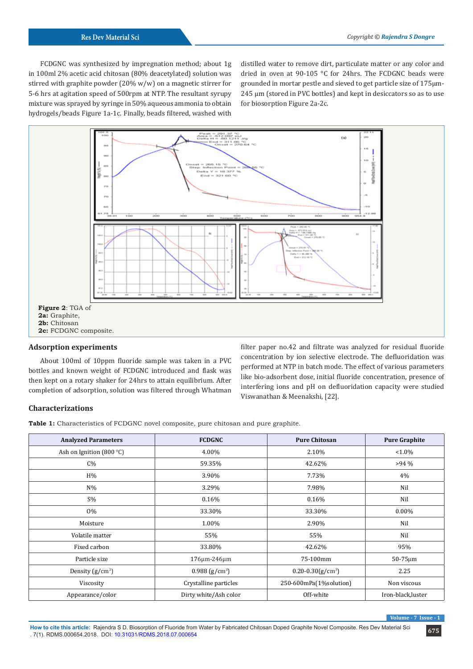FCDGNC was synthesized by impregnation method; about 1g in 100ml 2% acetic acid chitosan (80% deacetylated) solution was stirred with graphite powder (20% w/w) on a magnetic stirrer for 5-6 hrs at agitation speed of 500rpm at NTP. The resultant syrupy mixture was sprayed by syringe in 50% aqueous ammonia to obtain hydrogels/beads Figure 1a-1c. Finally, beads filtered, washed with

distilled water to remove dirt, particulate matter or any color and dried in oven at 90-105 °C for 24hrs. The FCDGNC beads were grounded in mortar pestle and sieved to get particle size of 175µm-245 µm (stored in PVC bottles) and kept in desiccators so as to use for biosorption Figure 2a-2c.



# **Adsorption experiments**

About 100ml of 10ppm fluoride sample was taken in a PVC bottles and known weight of FCDGNC introduced and flask was then kept on a rotary shaker for 24hrs to attain equilibrium. After completion of adsorption, solution was filtered through Whatman

filter paper no.42 and filtrate was analyzed for residual fluoride concentration by ion selective electrode. The defluoridation was performed at NTP in batch mode. The effect of various parameters like bio-adsorbent dose, initial fluoride concentration, presence of interfering ions and pH on defluoridation capacity were studied Viswanathan & Meenakshi, [22].

# **Characterizations**

**Table 1:** Characteristics of FCDGNC novel composite, pure chitosan and pure graphite.

| <b>Analyzed Parameters</b>  | <b>FCDGNC</b>                | <b>Pure Chitosan</b>   | <b>Pure Graphite</b> |
|-----------------------------|------------------------------|------------------------|----------------------|
| Ash on Ignition (800 $°C$ ) | 4.00%                        | 2.10%                  | $< 1.0\%$            |
| $C\%$                       | 59.35%                       | 42.62%                 | $>94\%$              |
| H%                          | 3.90%                        | 7.73%                  | 4%                   |
| $N\%$                       | 3.29%                        | 7.98%                  | Nil                  |
| $S\%$                       | 0.16%                        | 0.16%                  | Nil                  |
| 0%                          | 33.30%                       | 33.30%                 | $0.00\%$             |
| Moisture                    | 1.00%                        | 2.90%                  | Nil                  |
| Volatile matter             | 55%                          | 55%                    | Nil                  |
| Fixed carbon                | 33.80%                       | 42.62%                 | 95%                  |
| Particle size               | 176μm-246μm                  | 75-100mm               | $50-75 \mu m$        |
| Density $(g/cm^3)$          | $0.988$ (g/cm <sup>3</sup> ) | $0.20 - 0.30(g/cm^3)$  | 2.25                 |
| Viscosity                   | Crystalline particles        | 250-600mPa(1%solution) | Non viscous          |
| Appearance/color            | Dirty white/Ash color        | Off-white              | Iron-black, luster   |

 $V$ olume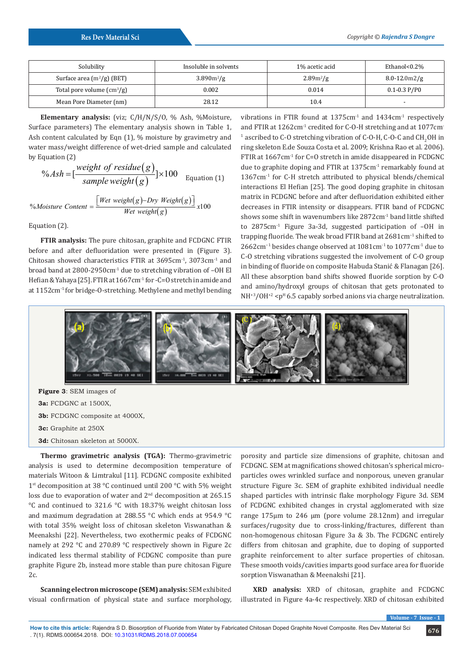| Solubility                               | Insoluble in solvents | 1% acetic acid | Ethanol<0.2%         |
|------------------------------------------|-----------------------|----------------|----------------------|
| Surface area $(m^2/g)$ (BET)             | $3.890m^2/g$          | $2.89m^2/g$    | $8.0 - 12.0$ m $2/g$ |
| Total pore volume $\text{cm}^3\text{/g}$ | 0.002                 | 0.014          | $0.1 - 0.3$ P/P0     |
| Mean Pore Diameter (nm)                  | 28.12                 | 10.4           | -                    |

**Elementary analysis:** (viz; C/H/N/S/O, % Ash, %Moisture, Surface parameters) The elementary analysis shown in Table 1, Ash content calculated by Eqn (1), % moisture by gravimetry and water mass/weight difference of wet-dried sample and calculated by Equation (2)

$$
\% Ash = [\frac{weight \ of \ residue(g)}{sample \ weight(g)}] \times 100
$$
Equation (1)  
[*Wet weight(g) - Dry Weight(g)*]

$$
%Moisture Content = \frac{[Wet weight(g)-Dry Weight(g)]}{Wet weight(g)}x100
$$

Equation (2).

**FTIR analysis:** The pure chitosan, graphite and FCDGNC FTIR before and after defluoridation were presented in (Figure 3). Chitosan showed characteristics FTIR at 3695cm-1, 3073cm-1 and broad band at 2800-2950cm<sup>-1</sup> due to stretching vibration of -OH El Hefian & Yahaya [25]. FTIR at 1667cm<sup>-1</sup> for -C=O stretch in amide and at 1152cm-1 for bridge-O-stretching. Methylene and methyl bending vibrations in FTIR found at 1375cm<sup>-1</sup> and 1434cm<sup>-1</sup> respectively and FTIR at 1262cm<sup>-1</sup> credited for C-O-H stretching and at 1077cm<sup>-1</sup>  $^1$  ascribed to C-O stretching vibration of C-O-H, C-O-C and CH<sub>2</sub>OH in ring skeleton E.de Souza Costa et al. 2009; Krishna Rao et al. 2006). FTIR at 1667cm<sup>-1</sup> for C=O stretch in amide disappeared in FCDGNC due to graphite doping and FTIR at 1375cm<sup>-1</sup> remarkably found at 1367cm-1 for C-H stretch attributed to physical blends/chemical interactions El Hefian [25]. The good doping graphite in chitosan matrix in FCDGNC before and after defluoridation exhibited either decreases in FTIR intensity or disappears. FTIR band of FCDGNC shows some shift in wavenumbers like 2872cm-1 band little shifted to 2875cm-1 Figure 3a-3d, suggested participation of –OH in trapping fluoride. The weak broad FTIR band at 2681cm−1 shifted to 2662cm−1 besides change observed at 1081cm-1 to 1077cm-1 due to C-O stretching vibrations suggested the involvement of C-O group in binding of fluoride on composite Habuda Stanić & Flanagan [26]. All these absorption band shifts showed fluoride sorption by C-O and amino/hydroxyl groups of chitosan that gets protonated to  $NH^{3}/OH^{2}$  <p<sup>H</sup> 6.5 capably sorbed anions via charge neutralization.



**Figure 3**: SEM images of **3a:** FCDGNC at 1500X, **3b:** FCDGNC composite at 4000X, **3c:** Graphite at 250X **3d:** Chitosan skeleton at 5000X.

**Thermo gravimetric analysis (TGA):** Thermo-gravimetric analysis is used to determine decomposition temperature of materials Witoon & Limtrakul [11]. FCDGNC composite exhibited 1<sup>st</sup> decomposition at 38 °C continued until 200 °C with 5% weight loss due to evaporation of water and 2<sup>nd</sup> decomposition at 265.15 °C and continued to 321.6 °C with 18.37% weight chitosan loss and maximum degradation at 288.55 °C which ends at 954.9 °C with total 35% weight loss of chitosan skeleton Viswanathan & Meenakshi [22]. Nevertheless, two exothermic peaks of FCDGNC namely at 292 °C and 270.89 °C respectively shown in Figure 2c indicated less thermal stability of FCDGNC composite than pure graphite Figure 2b, instead more stable than pure chitosan Figure 2c.

**Scanning electron microscope (SEM) analysis:** SEM exhibited visual confirmation of physical state and surface morphology,

porosity and particle size dimensions of graphite, chitosan and FCDGNC. SEM at magnifications showed chitosan's spherical microparticles owes wrinkled surface and nonporous, uneven granular structure Figure 3c. SEM of graphite exhibited individual needle shaped particles with intrinsic flake morphology Figure 3d. SEM of FCDGNC exhibited changes in crystal agglomerated with size range 175µm to 246 µm (pore volume 28.12nm) and irregular surfaces/rugosity due to cross-linking/fractures, different than non-homogenous chitosan Figure 3a & 3b. The FCDGNC entirely differs from chitosan and graphite, due to doping of supported graphite reinforcement to alter surface properties of chitosan. These smooth voids/cavities imparts good surface area for fluoride sorption Viswanathan & Meenakshi [21].

**XRD analysis:** XRD of chitosan, graphite and FCDGNC illustrated in Figure 4a-4c respectively. XRD of chitosan exhibited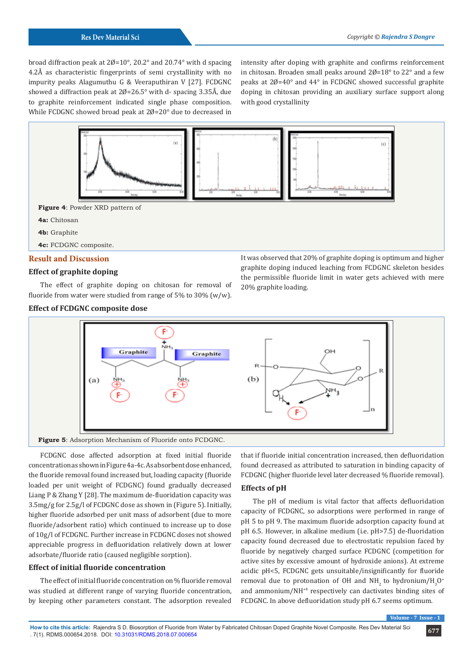broad diffraction peak at 2Ø=10°, 20.2° and 20.74° with d spacing 4.2Å as characteristic fingerprints of semi crystallinity with no impurity peaks Alagumuthu G & Veeraputhiran V [27]. FCDGNC showed a diffraction peak at  $20=26.5^{\circ}$  with d-spacing 3.35Å, due to graphite reinforcement indicated single phase composition. While FCDGNC showed broad peak at 2Ø=20° due to decreased in

intensity after doping with graphite and confirms reinforcement in chitosan. Broaden small peaks around  $2\rlap{\,/}0=18^\circ$  to  $22^\circ$  and a few peaks at 2Ø=40° and 44° in FCDGNC showed successful graphite doping in chitosan providing an auxiliary surface support along with good crystallinity



# **Effect of graphite doping**

The effect of graphite doping on chitosan for removal of fluoride from water were studied from range of 5% to 30% (w/w).

# **Effect of FCDGNC composite dose**

graphite doping induced leaching from FCDGNC skeleton besides the permissible fluoride limit in water gets achieved with mere 20% graphite loading.





FCDGNC dose affected adsorption at fixed initial fluoride concentration as shown in Figure 4a-4c. As absorbent dose enhanced, the fluoride removal found increased but, loading capacity (fluoride loaded per unit weight of FCDGNC) found gradually decreased Liang P & Zhang Y [28]. The maximum de-fluoridation capacity was 3.5mg/g for 2.5g/l of FCDGNC dose as shown in (Figure 5). Initially, higher fluoride adsorbed per unit mass of adsorbent (due to more fluoride/adsorbent ratio) which continued to increase up to dose of 10g/l of FCDGNC. Further increase in FCDGNC doses not showed appreciable progress in defluoridation relatively down at lower adsorbate/fluoride ratio (caused negligible sorption).

# **Effect of initial fluoride concentration**

The effect of initial fluoride concentration on % fluoride removal was studied at different range of varying fluoride concentration, by keeping other parameters constant. The adsorption revealed that if fluoride initial concentration increased, then defluoridation found decreased as attributed to saturation in binding capacity of FCDGNC (higher fluoride level later decreased % fluoride removal).

# **Effects of pH**

The pH of medium is vital factor that affects defluoridation capacity of FCDGNC, so adsorptions were performed in range of pH 5 to pH 9. The maximum fluoride adsorption capacity found at pH 6.5. However, in alkaline medium (i.e. pH>7.5) de-fluoridation capacity found decreased due to electrostatic repulsion faced by fluoride by negatively charged surface FCDGNC (competition for active sites by excessive amount of hydroxide anions). At extreme acidic pH<5, FCDGNC gets unsuitable/insignificantly for fluoride removal due to protonation of OH and  $\text{NH}_2^{\text{}}$  to hydronium/ $\text{H}_3^{\text{}}\text{O}^*$ and ammonium/NH+4 respectively can dactivates binding sites of FCDGNC. In above defluoridation study pH 6.7 seems optimum.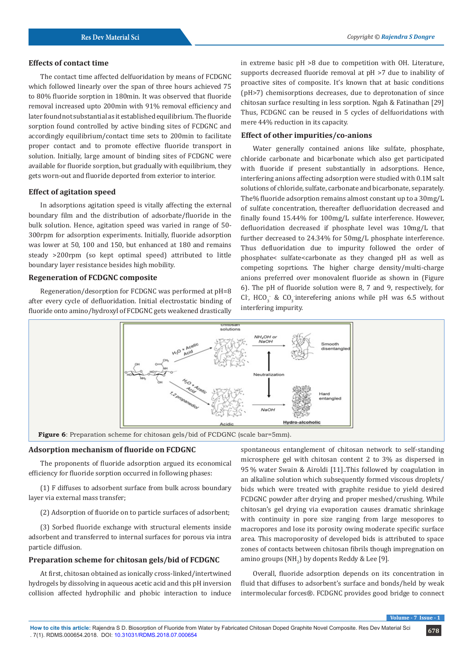# **Effects of contact time**

The contact time affected delfuoridation by means of FCDGNC which followed linearly over the span of three hours achieved 75 to 80% fluoride sorption in 180min. It was observed that fluoride removal increased upto 200min with 91% removal efficiency and later found not substantial as it established equilibrium. The fluoride sorption found controlled by active binding sites of FCDGNC and accordingly equilibrium/contact time sets to 200min to facilitate proper contact and to promote effective fluoride transport in solution. Initially, large amount of binding sites of FCDGNC were available for fluoride sorption, but gradually with equilibrium, they gets worn-out and fluoride deported from exterior to interior.

#### **Effect of agitation speed**

In adsorptions agitation speed is vitally affecting the external boundary film and the distribution of adsorbate/fluoride in the bulk solution. Hence, agitation speed was varied in range of 50- 300rpm for adsorption experiments. Initially, fluoride adsorption was lower at 50, 100 and 150, but enhanced at 180 and remains steady >200rpm (so kept optimal speed) attributed to little boundary layer resistance besides high mobility.

# **Regeneration of FCDGNC composite**

Regeneration/desorption for FCDGNC was performed at pH=8 after every cycle of defluoridation. Initial electrostatic binding of fluoride onto amino/hydroxyl of FCDGNC gets weakened drastically

in extreme basic pH >8 due to competition with OH. Literature, supports decreased fluoride removal at pH >7 due to inability of proactive sites of composite. It's known that at basic conditions (pH>7) chemisorptions decreases, due to deprotonation of since chitosan surface resulting in less sorption. Ngah & Fatinathan [29] Thus, FCDGNC can be reused in 5 cycles of delfuoridations with mere 44% reduction in its capacity.

#### **Effect of other impurities/co-anions**

Water generally contained anions like sulfate, phosphate, chloride carbonate and bicarbonate which also get participated with fluoride if present substantially in adsorptions. Hence, interfering anions affecting adsorption were studied with 0.1M salt solutions of chloride, sulfate, carbonate and bicarbonate, separately. The% fluoride adsorption remains almost constant up to a 30mg/L of sulfate concentration, thereafter defluoridation decreased and finally found 15.44% for 100mg/L sulfate interference. However, defluoridation decreased if phosphate level was 10mg/L that further decreased to 24.34% for 50mg/L phosphate interference. Thus defluoridation due to impurity followed the order of phosphate< sulfate<carbonate as they changed pH as well as competing soprtions. The higher charge density/multi-charge anions preferred over monovalent fluoride as shown in (Figure 6). The pH of fluoride solution were 8, 7 and 9, respectively, for Cl  $\sim$  HCO<sub>3</sub> & CO<sub>3</sub> interefering anions while pH was 6.5 without interfering impurity.



Figure 6: Preparation scheme for chitosan gels/bid of FCDGNC (scale bar=5mm).

# **Adsorption mechanism of fluoride on FCDGNC**

The proponents of fluoride adsorption argued its economical efficiency for fluoride sorption occurred in following phases:

(1) F diffuses to adsorbent surface from bulk across boundary layer via external mass transfer;

(2) Adsorption of fluoride on to particle surfaces of adsorbent;

(3) Sorbed fluoride exchange with structural elements inside adsorbent and transferred to internal surfaces for porous via intra particle diffusion.

# **Preparation scheme for chitosan gels/bid of FCDGNC**

At first, chitosan obtained as ionically cross-linked/intertwined hydrogels by dissolving in aqueous acetic acid and this pH inversion collision affected hydrophilic and phobic interaction to induce

spontaneous entanglement of chitosan network to self-standing microsphere gel with chitosan content 2 to 3% as dispersed in 95 % water Swain & Airoldi [11]..This followed by coagulation in an alkaline solution which subsequently formed viscous droplets/ bids which were treated with graphite residue to yield desired FCDGNC powder after drying and proper meshed/crushing. While chitosan's gel drying via evaporation causes dramatic shrinkage with continuity in pore size ranging from large mesopores to macropores and lose its porosity owing moderate specific surface area. This macroporosity of developed bids is attributed to space zones of contacts between chitosan fibrils though impregnation on amino groups  $(\mathrm{NH}_2)$  by dopents Reddy & Lee [9].

Overall, fluoride adsorption depends on its concentration in fluid that diffuses to adsorbent's surface and bonds/held by weak intermolecular forces®. FCDGNC provides good bridge to connect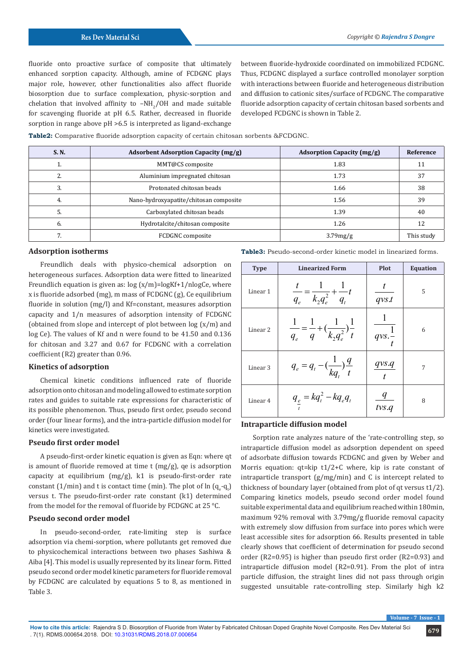fluoride onto proactive surface of composite that ultimately enhanced sorption capacity. Although, amine of FCDGNC plays major role, however, other functionalities also affect fluoride biosorption due to surface complexation, physic-sorption and chelation that involved affinity to  $-NH_2/OH$  and made suitable for scavenging fluoride at pH 6.5. Rather, decreased in fluoride sorption in range above pH >6.5 is interpreted as ligand-exchange

between fluoride-hydroxide coordinated on immobilized FCDGNC. Thus, FCDGNC displayed a surface controlled monolayer sorption with interactions between fluoride and heterogeneous distribution and diffusion to cationic sites/surface of FCDGNC. The comparative fluoride adsorption capacity of certain chitosan based sorbents and developed FCDGNC is shown in Table 2.

**Table2:** Comparative fluoride adsorption capacity of certain chitosan sorbents &FCDGNC.

| <b>S.N.</b> | <b>Adsorbent Adsorption Capacity (mg/g)</b> | <b>Adsorption Capacity (mg/g)</b> | Reference  |
|-------------|---------------------------------------------|-----------------------------------|------------|
|             | MMT@CS composite                            | 1.83                              | 11         |
|             | Aluminium impregnated chitosan              | 1.73                              | 37         |
|             | Protonated chitosan beads                   | 1.66                              | 38         |
|             | Nano-hydroxyapatite/chitosan composite      | 1.56                              | 39         |
|             | Carboxylated chitosan beads                 | 1.39                              | 40         |
| 6.          | Hydrotalcite/chitosan composite             | 1.26                              | 12         |
|             | FCDGNC composite                            | 3.79mg/g                          | This study |

#### **Adsorption isotherms**

Freundlich deals with physico-chemical adsorption on heterogeneous surfaces. Adsorption data were fitted to linearized Freundlich equation is given as:  $log(x/m) = logKf + 1/nlogCe$ , where x is fluoride adsorbed (mg), m mass of FCDGNC (g), Ce equilibrium fluoride in solution (mg/l) and Kf=constant, measures adsorption capacity and 1/n measures of adsorption intensity of FCDGNC (obtained from slope and intercept of plot between log (x/m) and log Ce). The values of Kf and n were found to be 41.50 and 0.136 for chitosan and 3.27 and 0.67 for FCDGNC with a correlation coefficient (R2) greater than 0.96.

### **Kinetics of adsorption**

Chemical kinetic conditions influenced rate of fluoride adsorption onto chitosan and modeling allowed to estimate sorption rates and guides to suitable rate expressions for characteristic of its possible phenomenon. Thus, pseudo first order, pseudo second order (four linear forms), and the intra-particle diffusion model for kinetics were investigated.

# **Pseudo first order model**

A pseudo-first-order kinetic equation is given as Eqn: where qt is amount of fluoride removed at time t (mg/g), qe is adsorption capacity at equilibrium (mg/g), k1 is pseudo-first-order rate constant (1/min) and t is contact time (min). The plot of  $\ln (q_e - q_t)$ versus t. The pseudo-first-order rate constant (k1) determined from the model for the removal of fluoride by FCDGNC at 25 °C.

### **Pseudo second order model**

In pseudo-second-order, rate-limiting step is surface adsorption via chemi-sorption, where pollutants get removed due to physicochemical interactions between two phases Sashiwa & Aiba [4]. This model is usually represented by its linear form. Fitted pseudo second order model kinetic parameters for fluoride removal by FCDGNC are calculated by equations 5 to 8, as mentioned in Table 3.

**Table3:** Pseudo-second-order kinetic model in linearized forms.

| <b>Type</b>         | <b>Linearized Form</b>                                                       | <b>Plot</b>                 | <b>Equation</b> |
|---------------------|------------------------------------------------------------------------------|-----------------------------|-----------------|
| Linear 1            | $\frac{t}{q_e} = \frac{1}{k_2 q_e^2} + \frac{1}{q_t} t$                      | qvs.t                       | 5               |
| Linear <sub>2</sub> | $\frac{1}{q_e} = \frac{1}{q} + \left(\frac{1}{k_2 q_e^2}\right) \frac{1}{t}$ | $\frac{1}{qvs.\frac{1}{t}}$ | 6               |
| Linear <sub>3</sub> | $q_e = q_t - (\frac{1}{kq_t})\frac{q}{t}$                                    | $\frac{qvs.q}{t}$           | 7               |
| Linear 4            | $q_e = kq_t^2 - kq_e q_t$                                                    | tvs.q                       | 8               |

### **Intraparticle diffusion model**

Sorption rate analyzes nature of the 'rate-controlling step, so intraparticle diffusion model as adsorption dependent on speed of adsorbate diffusion towards FCDGNC and given by Weber and Morris equation: qt=kip t1/2+C where, kip is rate constant of intraparticle transport (g/mg/min) and C is intercept related to thickness of boundary layer (obtained from plot of qt versus t1/2). Comparing kinetics models, pseudo second order model found suitable experimental data and equilibrium reached within 180min, maximum 92% removal with 3.79mg/g fluoride removal capacity with extremely slow diffusion from surface into pores which were least accessible sites for adsorption 66. Results presented in table clearly shows that coefficient of determination for pseudo second order (R2=0.95) is higher than pseudo first order (R2=0.93) and intraparticle diffusion model (R2=0.91). From the plot of intra particle diffusion, the straight lines did not pass through origin suggested unsuitable rate-controlling step. Similarly high k2

 $\sqrt{$  Volume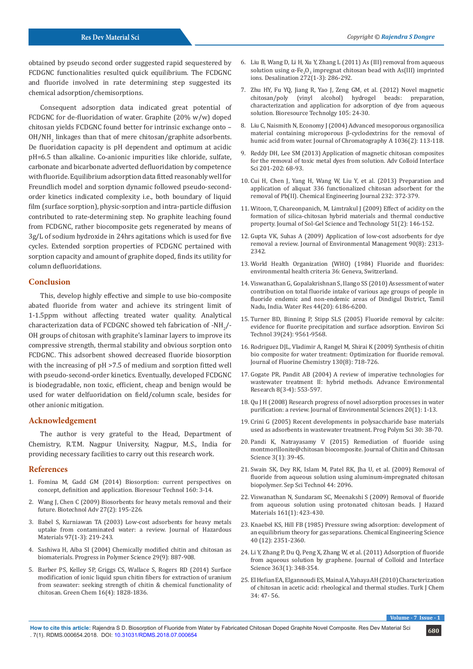obtained by pseudo second order suggested rapid sequestered by FCDGNC functionalities resulted quick equilibrium. The FCDGNC and fluoride involved in rate determining step suggested its chemical adsorption/chemisorptions.

Consequent adsorption data indicated great potential of FCDGNC for de-fluoridation of water. Graphite (20% w/w) doped chitosan yields FCDGNC found better for intrinsic exchange onto –  $OH/NH_{2}$  linkages than that of mere chitosan/graphite adsorbents. De fluoridation capacity is pH dependent and optimum at acidic pH=6.5 than alkaline. Co-anionic impurities like chloride, sulfate, carbonate and bicarbonate adverted defluoridation by competence with fluoride. Equilibrium adsorption data fitted reasonably well for Freundlich model and sorption dynamic followed pseudo-secondorder kinetics indicated complexity i.e., both boundary of liquid film (surface sorption), physic-sorption and intra-particle diffusion contributed to rate-determining step. No graphite leaching found from FCDGNC, rather biocomposite gets regenerated by means of 3g/L of sodium hydroxide in 24hrs agitations which is used for five cycles. Extended sorption properties of FCDGNC pertained with sorption capacity and amount of graphite doped, finds its utility for column defluoridations.

# **Conclusion**

This, develop highly effective and simple to use bio-composite abated fluoride from water and achieve its stringent limit of 1-1.5ppm without affecting treated water quality. Analytical characterization data of FCDGNC showed teh fabrication of -NH<sub>2</sub>/-OH groups of chitosan with graphite's laminar layers to improve its compressive strength, thermal stability and obvious sorption onto FCDGNC. This adsorbent showed decreased fluoride biosorption with the increasing of pH >7.5 of medium and sorption fitted well with pseudo-second-order kinetics. Eventually, developed FCDGNC is biodegradable, non toxic, efficient, cheap and benign would be used for water delfuoridation on field/column scale, besides for other anionic mitigation.

#### **Acknowledgement**

The author is very grateful to the Head, Department of Chemistry, R.T.M. Nagpur University, Nagpur, M.S., India for providing necessary facilities to carry out this research work.

#### **References**

- 1. [Fomina M, Gadd GM \(2014\) Biosorption: current perspectives on](https://www.ncbi.nlm.nih.gov/pubmed/24468322)  [concept, definition and application. Bioresour Technol 160: 3-14.](https://www.ncbi.nlm.nih.gov/pubmed/24468322)
- 2. [Wang J, Chen C \(2009\) Biosorbents for heavy metals removal and their](https://www.sciencedirect.com/science/article/pii/S0734975008001109)  [future. Biotechnol Adv 27\(2\): 195-226.](https://www.sciencedirect.com/science/article/pii/S0734975008001109)
- 3. [Babel S, Kurniawan TA \(2003\) Low-cost adsorbents for heavy metals](https://www.sciencedirect.com/science/article/pii/S0304389402002637)  [uptake from contaminated water: a review. Journal of Hazardous](https://www.sciencedirect.com/science/article/pii/S0304389402002637)  [Materials 97\(1-3\): 219-243.](https://www.sciencedirect.com/science/article/pii/S0304389402002637)
- 4. [Sashiwa H, Aiba SI \(2004\) Chemically modified chitin and chitosan as](https://www.sciencedirect.com/science/article/pii/S0079670004000577)  [biomaterials. Progress in Polymer Science 29\(9\): 887-908.](https://www.sciencedirect.com/science/article/pii/S0079670004000577)
- 5. Barber PS, Kelley SP, Griggs CS, Wallace S, Rogers RD (2014) Surface modification of ionic liquid spun chitin fibers for extraction of uranium from seawater: seeking strength of chitin & chemical functionality of chitosan. Green Chem 16(4): 1828-1836.
- 6. [Liu B, Wang D, Li H, Xu Y, Zhang L \(2011\) As \(III\) removal from aqueous](https://www.sciencedirect.com/science/article/pii/S0011916411000452) solution using  $\alpha$ -Fe<sub>2</sub>O<sub>3</sub> [impregnat chitosan bead with As\(III\) imprinted](https://www.sciencedirect.com/science/article/pii/S0011916411000452) [ions. Desalination 272\(1-3\): 286-292.](https://www.sciencedirect.com/science/article/pii/S0011916411000452)
- 7. [Zhu HY, Fu YQ, Jiang R, Yao J, Zeng GM, et al. \(2012\) Novel magnetic](https://www.sciencedirect.com/science/article/pii/S0960852411016683) [chitosan/poly \(vinyl alcohol\) hydrogel beads: preparation,](https://www.sciencedirect.com/science/article/pii/S0960852411016683) [characterization and application for adsorption of dye from aqueous](https://www.sciencedirect.com/science/article/pii/S0960852411016683) [solution. Bioresource Technolgy 105: 24-30.](https://www.sciencedirect.com/science/article/pii/S0960852411016683)
- 8. [Liu C, Naismith N, Economy J \(2004\) Advanced mesoporous organosilica](https://www.sciencedirect.com/science/article/pii/S0021967304003541) [material containing microporous β-cyclodextrins for the removal of](https://www.sciencedirect.com/science/article/pii/S0021967304003541) [humic acid from water. Journal of Chromatography A 1036\(2\): 113-118.](https://www.sciencedirect.com/science/article/pii/S0021967304003541)
- 9. Reddy DH, Lee SM (2013) Application of magnetic chitosan composites for the removal of toxic metal dyes from solution. Adv Colloid Interface Sci 201-202: 68-93.
- 10. [Cui H, Chen J, Yang H, Wang W, Liu Y, et al. \(2013\) Preparation and](https://www.sciencedirect.com/science/article/pii/S1385894713010401) [application of aliquat 336 functionalized chitosan adsorbent for the](https://www.sciencedirect.com/science/article/pii/S1385894713010401) [removal of Pb\(II\). Chemical Engineering Journal 232: 372-379.](https://www.sciencedirect.com/science/article/pii/S1385894713010401)
- 11. [Witoon, T, Chareonpanich, M, Limtrakul J \(2009\) Effect of acidity on the](https://link.springer.com/article/10.1007/s10971-009-1986-2) [formation of silica-chitosan hybrid materials and thermal conductive](https://link.springer.com/article/10.1007/s10971-009-1986-2) [property. Journal of Sol-Gel Science and Technology 51\(2\): 146-152.](https://link.springer.com/article/10.1007/s10971-009-1986-2)
- 12. [Gupta VK, Suhas A \(2009\) Application of low-cost adsorbents for dye](https://www.sciencedirect.com/science/article/pii/S0301479708003290) [removal a review. Journal of Environmental Management 90\(8\): 2313-](https://www.sciencedirect.com/science/article/pii/S0301479708003290) [2342.](https://www.sciencedirect.com/science/article/pii/S0301479708003290)
- 13. World Health Organization (WHO) (1984) Fluoride and fluorides: environmental health criteria 36: Geneva, Switzerland.
- 14. [Viswanathan G, Gopalakrishnan S, Ilango SS \(2010\) Assessment of water](https://www.ncbi.nlm.nih.gov/pubmed/20728198) [contribution on total fluoride intake of various age groups of people in](https://www.ncbi.nlm.nih.gov/pubmed/20728198) [fluoride endemic and non-endemic areas of Dindigul District, Tamil](https://www.ncbi.nlm.nih.gov/pubmed/20728198) [Nadu, India. Water Res 44\(20\): 6186-6200.](https://www.ncbi.nlm.nih.gov/pubmed/20728198)
- 15. [Turner BD, Binning P, Stipp SLS \(2005\) Fluoride removal by calcite:](https://pubs.acs.org/doi/abs/10.1021/es0505090) [evidence for fluorite precipitation and surface adsorption. Environ Sci](https://pubs.acs.org/doi/abs/10.1021/es0505090) [Technol 39\(24\): 9561-9568.](https://pubs.acs.org/doi/abs/10.1021/es0505090)
- 16. Rodriguez DJL, Vladimir A, Rangel M, Shirai K (2009) Synthesis of chitin bio composite for water treatment: Optimization for fluoride removal. Journal of Fluorine Chemistry 130(8): 718-726.
- 17. [Gogate PR, Pandit AB \(2004\) A review of imperative technologies for](https://www.sciencedirect.com/science/article/pii/S1093019103000315) [wastewater treatment II: hybrid methods. Advance Environmental](https://www.sciencedirect.com/science/article/pii/S1093019103000315) [Research 8\(3-4\): 553-597.](https://www.sciencedirect.com/science/article/pii/S1093019103000315)
- 18. [Qu J H \(2008\) Research progress of novel adsorption processes in water](https://www.sciencedirect.com/science/article/pii/S1001074208600017) [purification: a review. Journal of Environmental Sciences 20\(1\): 1-13.](https://www.sciencedirect.com/science/article/pii/S1001074208600017)
- 19. Crini G (2005) Recent developments in polysaccharide base materials used as adsorbents in wastewater treatment. Prog Polym Sci 30: 38-70.
- 20. [Pandi K, Natrayasamy V \(2015\) Remediation of fluoride using](http://www.ingentaconnect.com/content/asp/jcc/2015/00000003/00000001/art00005) [montmorillonite@chitosan biocomposite. Journal of Chitin and Chitosan](http://www.ingentaconnect.com/content/asp/jcc/2015/00000003/00000001/art00005) [Science 3\(1\): 39-45.](http://www.ingentaconnect.com/content/asp/jcc/2015/00000003/00000001/art00005)
- 21. Swain SK, Dey RK, Islam M, Patel RK, Jha U, et al. (2009) Removal of fluoride from aqueous solution using aluminum-impregnated chitosan biopolymer. Sep Sci Technol 44: 2096.
- 22. [Viswanathan N, Sundaram SC, Meenakshi S \(2009\) Removal of fluoride](https://www.sciencedirect.com/science/article/pii/S0304389408005025) [from aqueous solution using protonated chitosan beads. J Hazard](https://www.sciencedirect.com/science/article/pii/S0304389408005025) [Materials 161\(1\): 423-430.](https://www.sciencedirect.com/science/article/pii/S0304389408005025)
- 23. [Knaebel KS, Hill FB \(1985\) Pressure swing adsorption: development of](https://www.sciencedirect.com/science/article/pii/0009250985851393) [an equilibrium theory for gas separations. Chemical Engineering Science](https://www.sciencedirect.com/science/article/pii/0009250985851393) [40 \(12\): 2351-2360.](https://www.sciencedirect.com/science/article/pii/0009250985851393)
- 24. [Li Y, Zhang P, Du Q, Peng X, Zhang W, et al. \(2011\) Adsorption of fluoride](https://www.sciencedirect.com/science/article/pii/S0021979711008794) [from aqueous solution by graphene. Journal of Colloid and Interface](https://www.sciencedirect.com/science/article/pii/S0021979711008794) [Science 363\(1\): 348-354.](https://www.sciencedirect.com/science/article/pii/S0021979711008794)
- 25. [El Hefian EA, Elgannoudi ES, Mainal A, Yahaya AH \(2010\) Characterization](https://pdfs.semanticscholar.org/5823/ce74bfd1825fb4aaabaed8f55a0808fc80c0.pdf) [of chitosan in acetic acid: rheological and thermal studies. Turk J Chem](https://pdfs.semanticscholar.org/5823/ce74bfd1825fb4aaabaed8f55a0808fc80c0.pdf) [34: 47- 56.](https://pdfs.semanticscholar.org/5823/ce74bfd1825fb4aaabaed8f55a0808fc80c0.pdf)